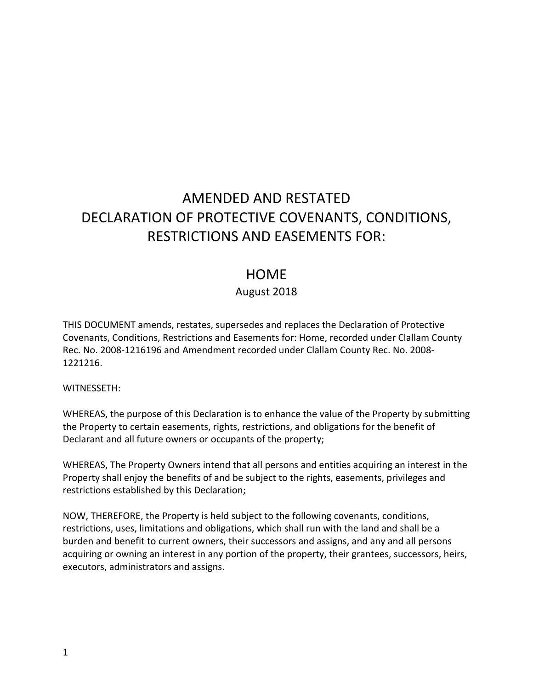# AMENDED AND RESTATED DECLARATION OF PROTECTIVE COVENANTS, CONDITIONS, RESTRICTIONS AND EASEMENTS FOR:

# **HOME**

## August 2018

THIS DOCUMENT amends, restates, supersedes and replaces the Declaration of Protective Covenants, Conditions, Restrictions and Easements for: Home, recorded under Clallam County Rec. No. 2008-1216196 and Amendment recorded under Clallam County Rec. No. 2008-1221216.

#### WITNESSETH:

WHEREAS, the purpose of this Declaration is to enhance the value of the Property by submitting the Property to certain easements, rights, restrictions, and obligations for the benefit of Declarant and all future owners or occupants of the property;

WHEREAS, The Property Owners intend that all persons and entities acquiring an interest in the Property shall enjoy the benefits of and be subject to the rights, easements, privileges and restrictions established by this Declaration;

NOW, THEREFORE, the Property is held subject to the following covenants, conditions, restrictions, uses, limitations and obligations, which shall run with the land and shall be a burden and benefit to current owners, their successors and assigns, and any and all persons acquiring or owning an interest in any portion of the property, their grantees, successors, heirs, executors, administrators and assigns.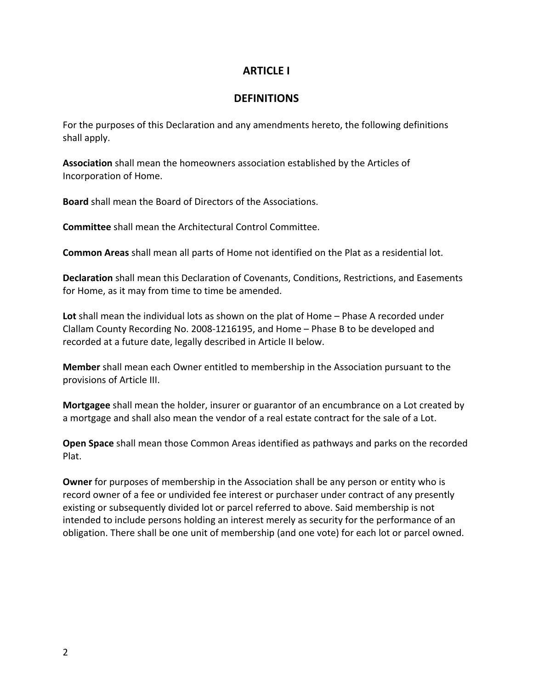## **ARTICLE I**

## **DEFINITIONS**

For the purposes of this Declaration and any amendments hereto, the following definitions shall apply.

**Association** shall mean the homeowners association established by the Articles of Incorporation of Home.

**Board** shall mean the Board of Directors of the Associations.

**Committee** shall mean the Architectural Control Committee.

**Common Areas** shall mean all parts of Home not identified on the Plat as a residential lot.

**Declaration** shall mean this Declaration of Covenants, Conditions, Restrictions, and Easements for Home, as it may from time to time be amended.

**Lot** shall mean the individual lots as shown on the plat of Home – Phase A recorded under Clallam County Recording No. 2008-1216195, and Home – Phase B to be developed and recorded at a future date, legally described in Article II below.

**Member** shall mean each Owner entitled to membership in the Association pursuant to the provisions of Article III.

**Mortgagee** shall mean the holder, insurer or guarantor of an encumbrance on a Lot created by a mortgage and shall also mean the vendor of a real estate contract for the sale of a Lot.

**Open Space** shall mean those Common Areas identified as pathways and parks on the recorded Plat.

**Owner** for purposes of membership in the Association shall be any person or entity who is record owner of a fee or undivided fee interest or purchaser under contract of any presently existing or subsequently divided lot or parcel referred to above. Said membership is not intended to include persons holding an interest merely as security for the performance of an obligation. There shall be one unit of membership (and one vote) for each lot or parcel owned.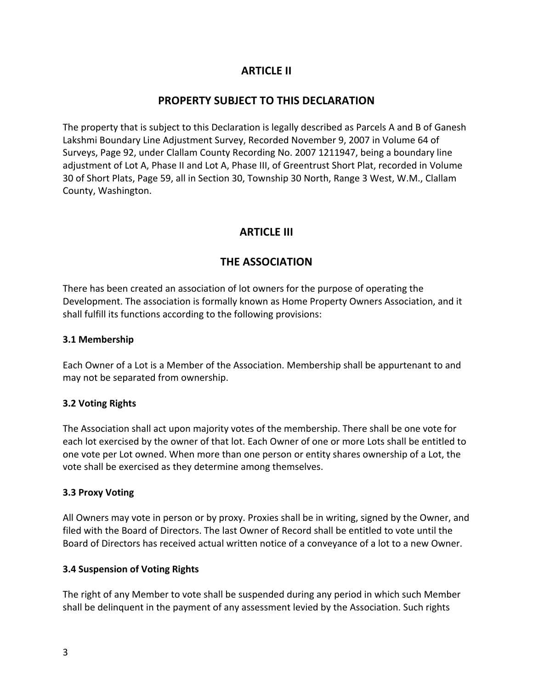# **ARTICLE II**

# **PROPERTY SUBJECT TO THIS DECLARATION**

The property that is subject to this Declaration is legally described as Parcels A and B of Ganesh Lakshmi Boundary Line Adjustment Survey, Recorded November 9, 2007 in Volume 64 of Surveys, Page 92, under Clallam County Recording No. 2007 1211947, being a boundary line adjustment of Lot A, Phase II and Lot A, Phase III, of Greentrust Short Plat, recorded in Volume 30 of Short Plats, Page 59, all in Section 30, Township 30 North, Range 3 West, W.M., Clallam County, Washington.

# **ARTICLE III**

# **THE ASSOCIATION**

There has been created an association of lot owners for the purpose of operating the Development. The association is formally known as Home Property Owners Association, and it shall fulfill its functions according to the following provisions:

### **3.1 Membership**

Each Owner of a Lot is a Member of the Association. Membership shall be appurtenant to and may not be separated from ownership.

#### **3.2 Voting Rights**

The Association shall act upon majority votes of the membership. There shall be one vote for each lot exercised by the owner of that lot. Each Owner of one or more Lots shall be entitled to one vote per Lot owned. When more than one person or entity shares ownership of a Lot, the vote shall be exercised as they determine among themselves.

#### **3.3 Proxy Voting**

All Owners may vote in person or by proxy. Proxies shall be in writing, signed by the Owner, and filed with the Board of Directors. The last Owner of Record shall be entitled to vote until the Board of Directors has received actual written notice of a conveyance of a lot to a new Owner.

#### **3.4 Suspension of Voting Rights**

The right of any Member to vote shall be suspended during any period in which such Member shall be delinquent in the payment of any assessment levied by the Association. Such rights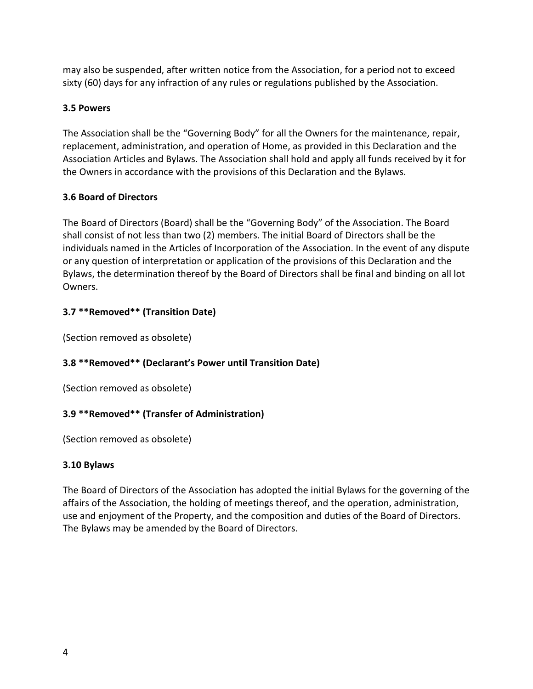may also be suspended, after written notice from the Association, for a period not to exceed sixty (60) days for any infraction of any rules or regulations published by the Association.

#### **3.5 Powers**

The Association shall be the "Governing Body" for all the Owners for the maintenance, repair, replacement, administration, and operation of Home, as provided in this Declaration and the Association Articles and Bylaws. The Association shall hold and apply all funds received by it for the Owners in accordance with the provisions of this Declaration and the Bylaws.

#### **3.6 Board of Directors**

The Board of Directors (Board) shall be the "Governing Body" of the Association. The Board shall consist of not less than two (2) members. The initial Board of Directors shall be the individuals named in the Articles of Incorporation of the Association. In the event of any dispute or any question of interpretation or application of the provisions of this Declaration and the Bylaws, the determination thereof by the Board of Directors shall be final and binding on all lot Owners.

#### **3.7 \*\*Removed\*\* (Transition Date)**

(Section removed as obsolete)

#### **3.8 \*\*Removed\*\* (Declarant's Power until Transition Date)**

(Section removed as obsolete)

#### **3.9 \*\*Removed\*\* (Transfer of Administration)**

(Section removed as obsolete)

#### **3.10 Bylaws**

The Board of Directors of the Association has adopted the initial Bylaws for the governing of the affairs of the Association, the holding of meetings thereof, and the operation, administration, use and enjoyment of the Property, and the composition and duties of the Board of Directors. The Bylaws may be amended by the Board of Directors.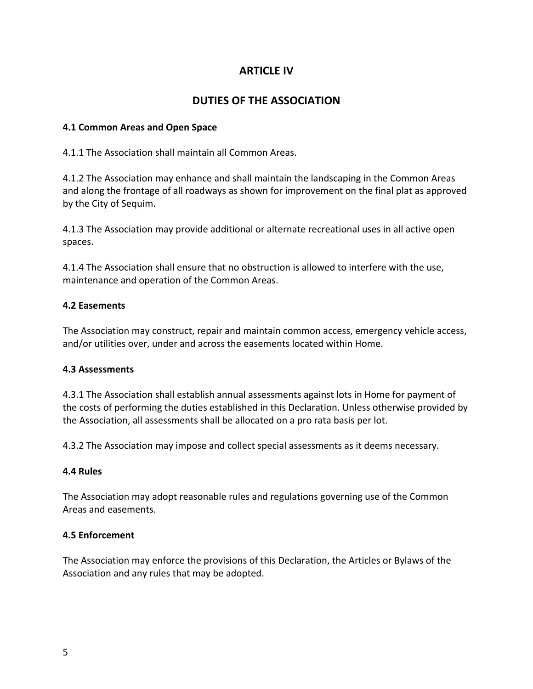# **ARTICLE IV**

# **DUTIES OF THE ASSOCIATION**

#### **4.1 Common Areas and Open Space**

4.1.1 The Association shall maintain all Common Areas.

4.1.2 The Association may enhance and shall maintain the landscaping in the Common Areas and along the frontage of all roadways as shown for improvement on the final plat as approved by the City of Sequim.

4.1.3 The Association may provide additional or alternate recreational uses in all active open spaces.

4.1.4 The Association shall ensure that no obstruction is allowed to interfere with the use, maintenance and operation of the Common Areas.

#### **4.2 Easements**

The Association may construct, repair and maintain common access, emergency vehicle access, and/or utilities over, under and across the easements located within Home.

#### **4.3 Assessments**

4.3.1 The Association shall establish annual assessments against lots in Home for payment of the costs of performing the duties established in this Declaration. Unless otherwise provided by the Association, all assessments shall be allocated on a pro rata basis per lot.

4.3.2 The Association may impose and collect special assessments as it deems necessary.

#### **4.4 Rules**

The Association may adopt reasonable rules and regulations governing use of the Common Areas and easements.

#### **4.5 Enforcement**

The Association may enforce the provisions of this Declaration, the Articles or Bylaws of the Association and any rules that may be adopted.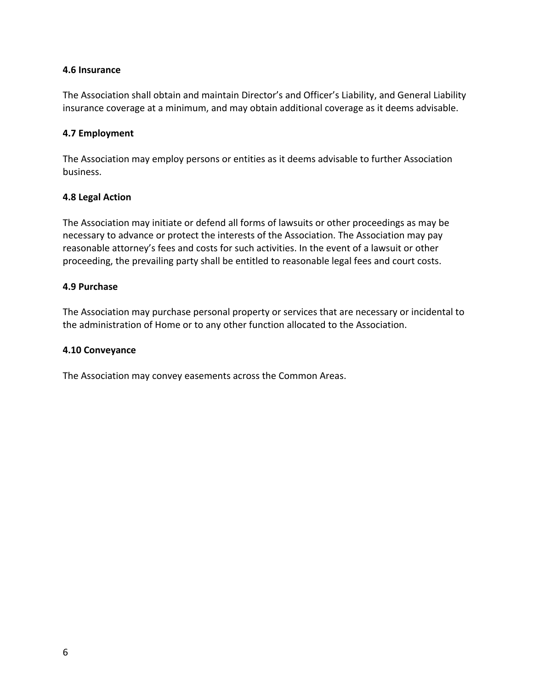#### **4.6 Insurance**

The Association shall obtain and maintain Director's and Officer's Liability, and General Liability insurance coverage at a minimum, and may obtain additional coverage as it deems advisable.

#### **4.7 Employment**

The Association may employ persons or entities as it deems advisable to further Association business.

#### **4.8 Legal Action**

The Association may initiate or defend all forms of lawsuits or other proceedings as may be necessary to advance or protect the interests of the Association. The Association may pay reasonable attorney's fees and costs for such activities. In the event of a lawsuit or other proceeding, the prevailing party shall be entitled to reasonable legal fees and court costs.

#### **4.9 Purchase**

The Association may purchase personal property or services that are necessary or incidental to the administration of Home or to any other function allocated to the Association.

#### **4.10 Conveyance**

The Association may convey easements across the Common Areas.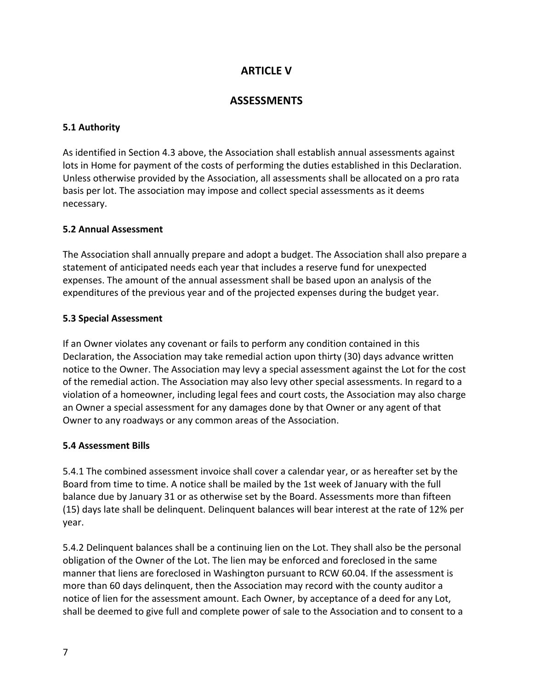# **ARTICLE V**

## **ASSESSMENTS**

#### **5.1 Authority**

As identified in Section 4.3 above, the Association shall establish annual assessments against lots in Home for payment of the costs of performing the duties established in this Declaration. Unless otherwise provided by the Association, all assessments shall be allocated on a pro rata basis per lot. The association may impose and collect special assessments as it deems necessary.

#### **5.2 Annual Assessment**

The Association shall annually prepare and adopt a budget. The Association shall also prepare a statement of anticipated needs each year that includes a reserve fund for unexpected expenses. The amount of the annual assessment shall be based upon an analysis of the expenditures of the previous year and of the projected expenses during the budget year.

#### **5.3 Special Assessment**

If an Owner violates any covenant or fails to perform any condition contained in this Declaration, the Association may take remedial action upon thirty (30) days advance written notice to the Owner. The Association may levy a special assessment against the Lot for the cost of the remedial action. The Association may also levy other special assessments. In regard to a violation of a homeowner, including legal fees and court costs, the Association may also charge an Owner a special assessment for any damages done by that Owner or any agent of that Owner to any roadways or any common areas of the Association.

#### **5.4 Assessment Bills**

5.4.1 The combined assessment invoice shall cover a calendar year, or as hereafter set by the Board from time to time. A notice shall be mailed by the 1st week of January with the full balance due by January 31 or as otherwise set by the Board. Assessments more than fifteen (15) days late shall be delinquent. Delinquent balances will bear interest at the rate of 12% per year.

5.4.2 Delinquent balances shall be a continuing lien on the Lot. They shall also be the personal obligation of the Owner of the Lot. The lien may be enforced and foreclosed in the same manner that liens are foreclosed in Washington pursuant to RCW 60.04. If the assessment is more than 60 days delinquent, then the Association may record with the county auditor a notice of lien for the assessment amount. Each Owner, by acceptance of a deed for any Lot, shall be deemed to give full and complete power of sale to the Association and to consent to a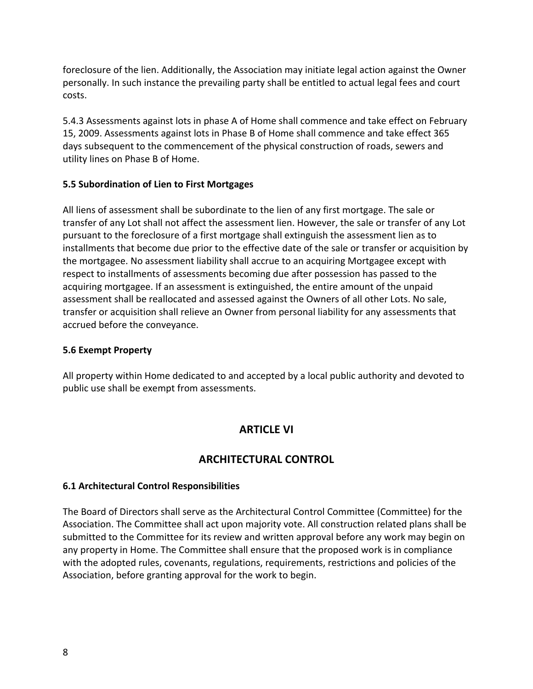foreclosure of the lien. Additionally, the Association may initiate legal action against the Owner personally. In such instance the prevailing party shall be entitled to actual legal fees and court costs.

5.4.3 Assessments against lots in phase A of Home shall commence and take effect on February 15, 2009. Assessments against lots in Phase B of Home shall commence and take effect 365 days subsequent to the commencement of the physical construction of roads, sewers and utility lines on Phase B of Home.

#### **5.5 Subordination of Lien to First Mortgages**

All liens of assessment shall be subordinate to the lien of any first mortgage. The sale or transfer of any Lot shall not affect the assessment lien. However, the sale or transfer of any Lot pursuant to the foreclosure of a first mortgage shall extinguish the assessment lien as to installments that become due prior to the effective date of the sale or transfer or acquisition by the mortgagee. No assessment liability shall accrue to an acquiring Mortgagee except with respect to installments of assessments becoming due after possession has passed to the acquiring mortgagee. If an assessment is extinguished, the entire amount of the unpaid assessment shall be reallocated and assessed against the Owners of all other Lots. No sale, transfer or acquisition shall relieve an Owner from personal liability for any assessments that accrued before the conveyance.

#### **5.6 Exempt Property**

All property within Home dedicated to and accepted by a local public authority and devoted to public use shall be exempt from assessments.

# **ARTICLE VI**

# **ARCHITECTURAL CONTROL**

## **6.1 Architectural Control Responsibilities**

The Board of Directors shall serve as the Architectural Control Committee (Committee) for the Association. The Committee shall act upon majority vote. All construction related plans shall be submitted to the Committee for its review and written approval before any work may begin on any property in Home. The Committee shall ensure that the proposed work is in compliance with the adopted rules, covenants, regulations, requirements, restrictions and policies of the Association, before granting approval for the work to begin.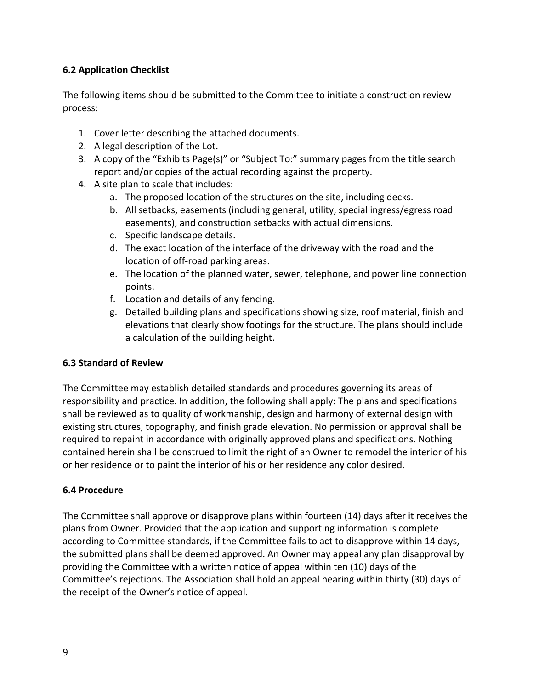### **6.2 Application Checklist**

The following items should be submitted to the Committee to initiate a construction review process:

- 1. Cover letter describing the attached documents.
- 2. A legal description of the Lot.
- 3. A copy of the "Exhibits Page(s)" or "Subject To:" summary pages from the title search report and/or copies of the actual recording against the property.
- 4. A site plan to scale that includes:
	- a. The proposed location of the structures on the site, including decks.
	- b. All setbacks, easements (including general, utility, special ingress/egress road easements), and construction setbacks with actual dimensions.
	- c. Specific landscape details.
	- d. The exact location of the interface of the driveway with the road and the location of off-road parking areas.
	- e. The location of the planned water, sewer, telephone, and power line connection points.
	- f. Location and details of any fencing.
	- g. Detailed building plans and specifications showing size, roof material, finish and elevations that clearly show footings for the structure. The plans should include a calculation of the building height.

#### **6.3 Standard of Review**

The Committee may establish detailed standards and procedures governing its areas of responsibility and practice. In addition, the following shall apply: The plans and specifications shall be reviewed as to quality of workmanship, design and harmony of external design with existing structures, topography, and finish grade elevation. No permission or approval shall be required to repaint in accordance with originally approved plans and specifications. Nothing contained herein shall be construed to limit the right of an Owner to remodel the interior of his or her residence or to paint the interior of his or her residence any color desired.

#### **6.4 Procedure**

The Committee shall approve or disapprove plans within fourteen (14) days after it receives the plans from Owner. Provided that the application and supporting information is complete according to Committee standards, if the Committee fails to act to disapprove within 14 days, the submitted plans shall be deemed approved. An Owner may appeal any plan disapproval by providing the Committee with a written notice of appeal within ten (10) days of the Committee's rejections. The Association shall hold an appeal hearing within thirty (30) days of the receipt of the Owner's notice of appeal.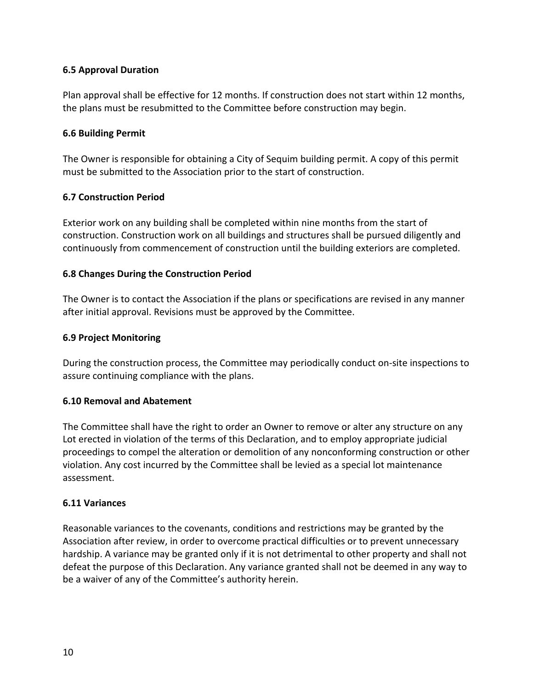#### **6.5 Approval Duration**

Plan approval shall be effective for 12 months. If construction does not start within 12 months, the plans must be resubmitted to the Committee before construction may begin.

#### **6.6 Building Permit**

The Owner is responsible for obtaining a City of Sequim building permit. A copy of this permit must be submitted to the Association prior to the start of construction.

#### **6.7 Construction Period**

Exterior work on any building shall be completed within nine months from the start of construction. Construction work on all buildings and structures shall be pursued diligently and continuously from commencement of construction until the building exteriors are completed.

#### **6.8 Changes During the Construction Period**

The Owner is to contact the Association if the plans or specifications are revised in any manner after initial approval. Revisions must be approved by the Committee.

#### **6.9 Project Monitoring**

During the construction process, the Committee may periodically conduct on-site inspections to assure continuing compliance with the plans.

#### **6.10 Removal and Abatement**

The Committee shall have the right to order an Owner to remove or alter any structure on any Lot erected in violation of the terms of this Declaration, and to employ appropriate judicial proceedings to compel the alteration or demolition of any nonconforming construction or other violation. Any cost incurred by the Committee shall be levied as a special lot maintenance assessment.

#### **6.11 Variances**

Reasonable variances to the covenants, conditions and restrictions may be granted by the Association after review, in order to overcome practical difficulties or to prevent unnecessary hardship. A variance may be granted only if it is not detrimental to other property and shall not defeat the purpose of this Declaration. Any variance granted shall not be deemed in any way to be a waiver of any of the Committee's authority herein.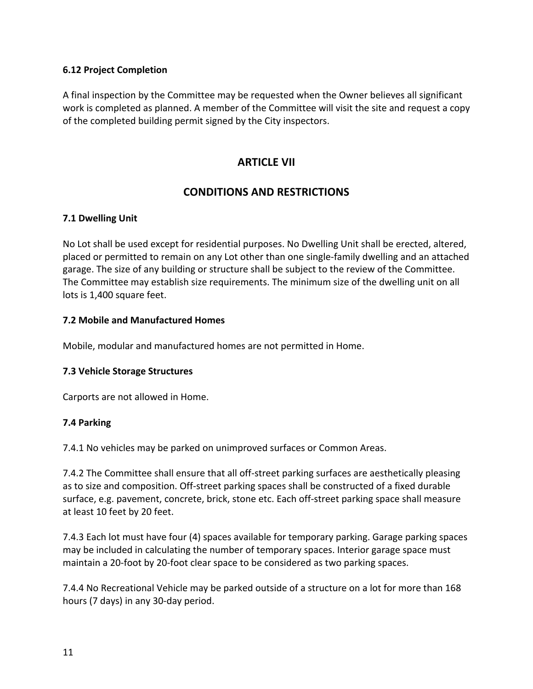#### **6.12 Project Completion**

A final inspection by the Committee may be requested when the Owner believes all significant work is completed as planned. A member of the Committee will visit the site and request a copy of the completed building permit signed by the City inspectors.

## **ARTICLE VII**

# **CONDITIONS AND RESTRICTIONS**

#### **7.1 Dwelling Unit**

No Lot shall be used except for residential purposes. No Dwelling Unit shall be erected, altered, placed or permitted to remain on any Lot other than one single-family dwelling and an attached garage. The size of any building or structure shall be subject to the review of the Committee. The Committee may establish size requirements. The minimum size of the dwelling unit on all lots is 1,400 square feet.

#### **7.2 Mobile and Manufactured Homes**

Mobile, modular and manufactured homes are not permitted in Home.

#### **7.3 Vehicle Storage Structures**

Carports are not allowed in Home.

#### **7.4 Parking**

7.4.1 No vehicles may be parked on unimproved surfaces or Common Areas.

7.4.2 The Committee shall ensure that all off-street parking surfaces are aesthetically pleasing as to size and composition. Off-street parking spaces shall be constructed of a fixed durable surface, e.g. pavement, concrete, brick, stone etc. Each off-street parking space shall measure at least 10 feet by 20 feet.

7.4.3 Each lot must have four (4) spaces available for temporary parking. Garage parking spaces may be included in calculating the number of temporary spaces. Interior garage space must maintain a 20-foot by 20-foot clear space to be considered as two parking spaces.

7.4.4 No Recreational Vehicle may be parked outside of a structure on a lot for more than 168 hours (7 days) in any 30-day period.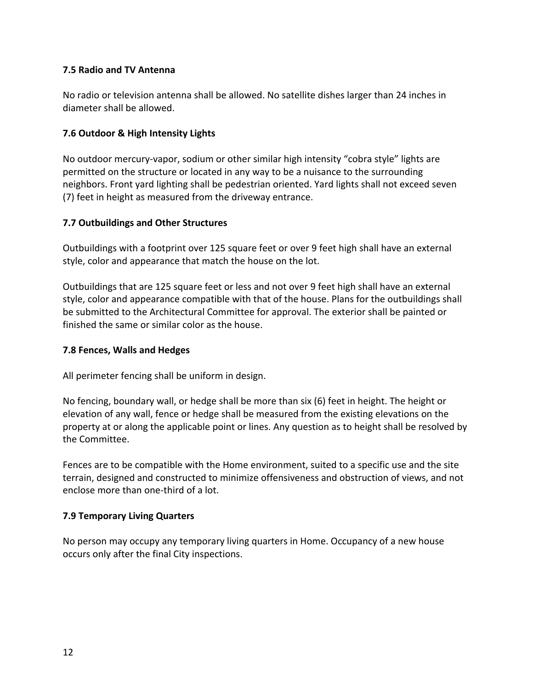#### **7.5 Radio and TV Antenna**

No radio or television antenna shall be allowed. No satellite dishes larger than 24 inches in diameter shall be allowed.

#### **7.6 Outdoor & High Intensity Lights**

No outdoor mercury-vapor, sodium or other similar high intensity "cobra style" lights are permitted on the structure or located in any way to be a nuisance to the surrounding neighbors. Front yard lighting shall be pedestrian oriented. Yard lights shall not exceed seven (7) feet in height as measured from the driveway entrance.

#### **7.7 Outbuildings and Other Structures**

Outbuildings with a footprint over 125 square feet or over 9 feet high shall have an external style, color and appearance that match the house on the lot.

Outbuildings that are 125 square feet or less and not over 9 feet high shall have an external style, color and appearance compatible with that of the house. Plans for the outbuildings shall be submitted to the Architectural Committee for approval. The exterior shall be painted or finished the same or similar color as the house.

#### **7.8 Fences, Walls and Hedges**

All perimeter fencing shall be uniform in design.

No fencing, boundary wall, or hedge shall be more than six (6) feet in height. The height or elevation of any wall, fence or hedge shall be measured from the existing elevations on the property at or along the applicable point or lines. Any question as to height shall be resolved by the Committee.

Fences are to be compatible with the Home environment, suited to a specific use and the site terrain, designed and constructed to minimize offensiveness and obstruction of views, and not enclose more than one-third of a lot.

#### **7.9 Temporary Living Quarters**

No person may occupy any temporary living quarters in Home. Occupancy of a new house occurs only after the final City inspections.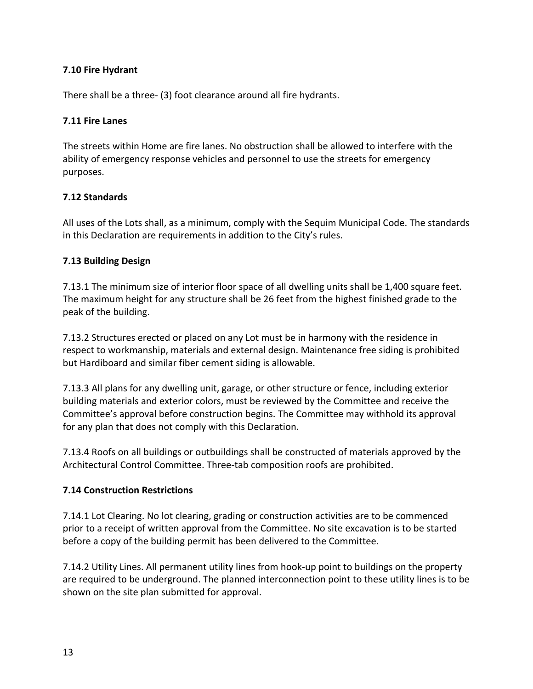#### **7.10 Fire Hydrant**

There shall be a three- (3) foot clearance around all fire hydrants.

#### **7.11 Fire Lanes**

The streets within Home are fire lanes. No obstruction shall be allowed to interfere with the ability of emergency response vehicles and personnel to use the streets for emergency purposes.

#### **7.12 Standards**

All uses of the Lots shall, as a minimum, comply with the Sequim Municipal Code. The standards in this Declaration are requirements in addition to the City's rules.

#### **7.13 Building Design**

7.13.1 The minimum size of interior floor space of all dwelling units shall be 1,400 square feet. The maximum height for any structure shall be 26 feet from the highest finished grade to the peak of the building.

7.13.2 Structures erected or placed on any Lot must be in harmony with the residence in respect to workmanship, materials and external design. Maintenance free siding is prohibited but Hardiboard and similar fiber cement siding is allowable.

7.13.3 All plans for any dwelling unit, garage, or other structure or fence, including exterior building materials and exterior colors, must be reviewed by the Committee and receive the Committee's approval before construction begins. The Committee may withhold its approval for any plan that does not comply with this Declaration.

7.13.4 Roofs on all buildings or outbuildings shall be constructed of materials approved by the Architectural Control Committee. Three-tab composition roofs are prohibited.

#### **7.14 Construction Restrictions**

7.14.1 Lot Clearing. No lot clearing, grading or construction activities are to be commenced prior to a receipt of written approval from the Committee. No site excavation is to be started before a copy of the building permit has been delivered to the Committee.

7.14.2 Utility Lines. All permanent utility lines from hook-up point to buildings on the property are required to be underground. The planned interconnection point to these utility lines is to be shown on the site plan submitted for approval.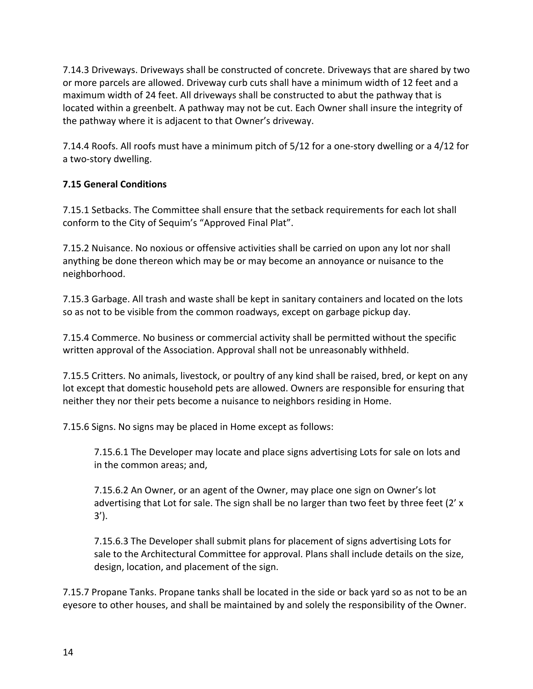7.14.3 Driveways. Driveways shall be constructed of concrete. Driveways that are shared by two or more parcels are allowed. Driveway curb cuts shall have a minimum width of 12 feet and a maximum width of 24 feet. All driveways shall be constructed to abut the pathway that is located within a greenbelt. A pathway may not be cut. Each Owner shall insure the integrity of the pathway where it is adjacent to that Owner's driveway.

7.14.4 Roofs. All roofs must have a minimum pitch of 5/12 for a one-story dwelling or a 4/12 for a two-story dwelling.

## **7.15 General Conditions**

7.15.1 Setbacks. The Committee shall ensure that the setback requirements for each lot shall conform to the City of Sequim's "Approved Final Plat".

7.15.2 Nuisance. No noxious or offensive activities shall be carried on upon any lot nor shall anything be done thereon which may be or may become an annoyance or nuisance to the neighborhood.

7.15.3 Garbage. All trash and waste shall be kept in sanitary containers and located on the lots so as not to be visible from the common roadways, except on garbage pickup day.

7.15.4 Commerce. No business or commercial activity shall be permitted without the specific written approval of the Association. Approval shall not be unreasonably withheld.

7.15.5 Critters. No animals, livestock, or poultry of any kind shall be raised, bred, or kept on any lot except that domestic household pets are allowed. Owners are responsible for ensuring that neither they nor their pets become a nuisance to neighbors residing in Home.

7.15.6 Signs. No signs may be placed in Home except as follows:

7.15.6.1 The Developer may locate and place signs advertising Lots for sale on lots and in the common areas; and,

7.15.6.2 An Owner, or an agent of the Owner, may place one sign on Owner's lot advertising that Lot for sale. The sign shall be no larger than two feet by three feet  $(2' \times$ 3').

7.15.6.3 The Developer shall submit plans for placement of signs advertising Lots for sale to the Architectural Committee for approval. Plans shall include details on the size, design, location, and placement of the sign.

7.15.7 Propane Tanks. Propane tanks shall be located in the side or back yard so as not to be an eyesore to other houses, and shall be maintained by and solely the responsibility of the Owner.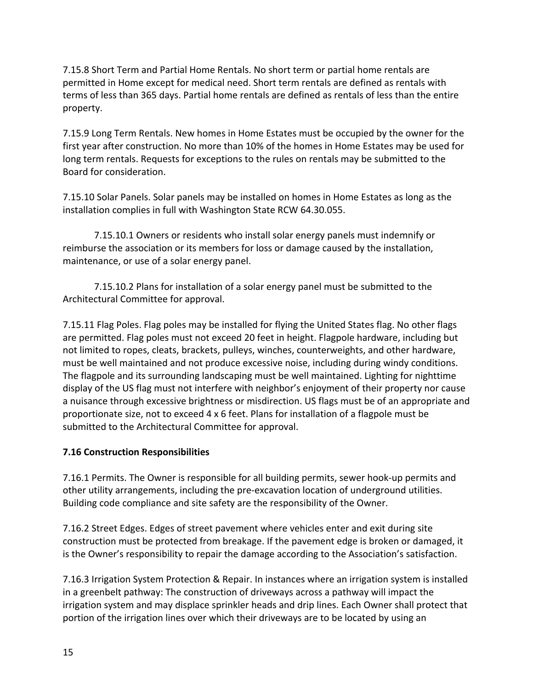7.15.8 Short Term and Partial Home Rentals. No short term or partial home rentals are permitted in Home except for medical need. Short term rentals are defined as rentals with terms of less than 365 days. Partial home rentals are defined as rentals of less than the entire property.

7.15.9 Long Term Rentals. New homes in Home Estates must be occupied by the owner for the first year after construction. No more than 10% of the homes in Home Estates may be used for long term rentals. Requests for exceptions to the rules on rentals may be submitted to the Board for consideration.

7.15.10 Solar Panels. Solar panels may be installed on homes in Home Estates as long as the installation complies in full with Washington State RCW 64.30.055.

7.15.10.1 Owners or residents who install solar energy panels must indemnify or reimburse the association or its members for loss or damage caused by the installation, maintenance, or use of a solar energy panel.

7.15.10.2 Plans for installation of a solar energy panel must be submitted to the Architectural Committee for approval.

7.15.11 Flag Poles. Flag poles may be installed for flying the United States flag. No other flags are permitted. Flag poles must not exceed 20 feet in height. Flagpole hardware, including but not limited to ropes, cleats, brackets, pulleys, winches, counterweights, and other hardware, must be well maintained and not produce excessive noise, including during windy conditions. The flagpole and its surrounding landscaping must be well maintained. Lighting for nighttime display of the US flag must not interfere with neighbor's enjoyment of their property nor cause a nuisance through excessive brightness or misdirection. US flags must be of an appropriate and proportionate size, not to exceed 4 x 6 feet. Plans for installation of a flagpole must be submitted to the Architectural Committee for approval.

#### **7.16 Construction Responsibilities**

7.16.1 Permits. The Owner is responsible for all building permits, sewer hook-up permits and other utility arrangements, including the pre-excavation location of underground utilities. Building code compliance and site safety are the responsibility of the Owner.

7.16.2 Street Edges. Edges of street pavement where vehicles enter and exit during site construction must be protected from breakage. If the pavement edge is broken or damaged, it is the Owner's responsibility to repair the damage according to the Association's satisfaction.

7.16.3 Irrigation System Protection & Repair. In instances where an irrigation system is installed in a greenbelt pathway: The construction of driveways across a pathway will impact the irrigation system and may displace sprinkler heads and drip lines. Each Owner shall protect that portion of the irrigation lines over which their driveways are to be located by using an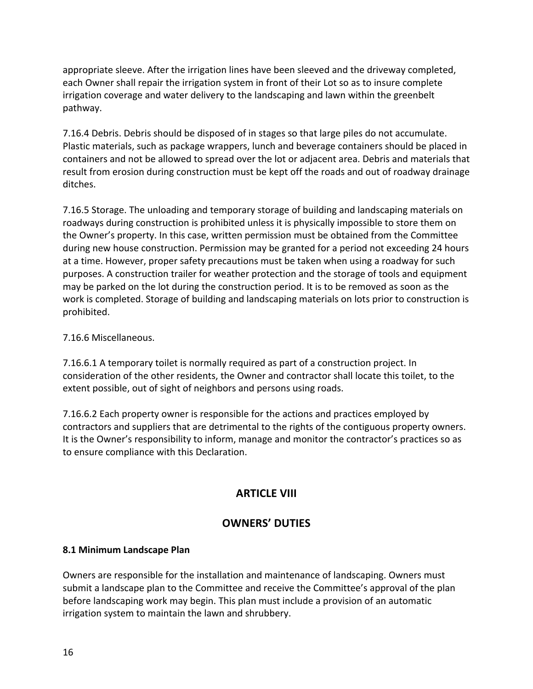appropriate sleeve. After the irrigation lines have been sleeved and the driveway completed, each Owner shall repair the irrigation system in front of their Lot so as to insure complete irrigation coverage and water delivery to the landscaping and lawn within the greenbelt pathway.

7.16.4 Debris. Debris should be disposed of in stages so that large piles do not accumulate. Plastic materials, such as package wrappers, lunch and beverage containers should be placed in containers and not be allowed to spread over the lot or adjacent area. Debris and materials that result from erosion during construction must be kept off the roads and out of roadway drainage ditches.

7.16.5 Storage. The unloading and temporary storage of building and landscaping materials on roadways during construction is prohibited unless it is physically impossible to store them on the Owner's property. In this case, written permission must be obtained from the Committee during new house construction. Permission may be granted for a period not exceeding 24 hours at a time. However, proper safety precautions must be taken when using a roadway for such purposes. A construction trailer for weather protection and the storage of tools and equipment may be parked on the lot during the construction period. It is to be removed as soon as the work is completed. Storage of building and landscaping materials on lots prior to construction is prohibited.

### 7.16.6 Miscellaneous.

7.16.6.1 A temporary toilet is normally required as part of a construction project. In consideration of the other residents, the Owner and contractor shall locate this toilet, to the extent possible, out of sight of neighbors and persons using roads.

7.16.6.2 Each property owner is responsible for the actions and practices employed by contractors and suppliers that are detrimental to the rights of the contiguous property owners. It is the Owner's responsibility to inform, manage and monitor the contractor's practices so as to ensure compliance with this Declaration.

# **ARTICLE VIII**

## **OWNERS' DUTIES**

#### **8.1 Minimum Landscape Plan**

Owners are responsible for the installation and maintenance of landscaping. Owners must submit a landscape plan to the Committee and receive the Committee's approval of the plan before landscaping work may begin. This plan must include a provision of an automatic irrigation system to maintain the lawn and shrubbery.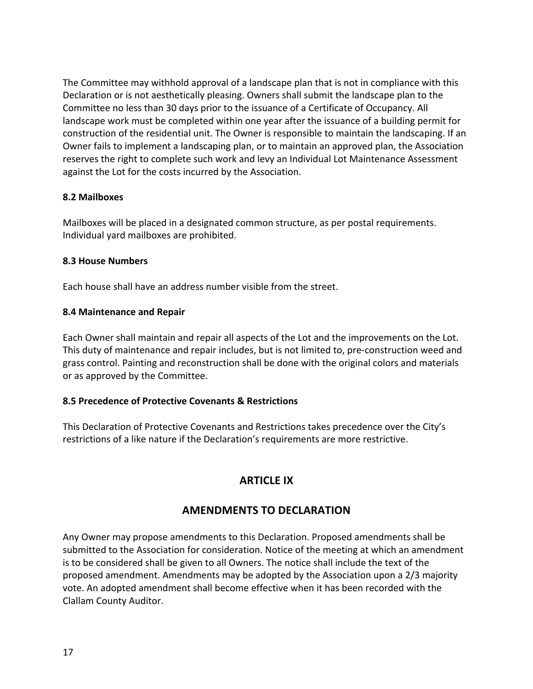The Committee may withhold approval of a landscape plan that is not in compliance with this Declaration or is not aesthetically pleasing. Owners shall submit the landscape plan to the Committee no less than 30 days prior to the issuance of a Certificate of Occupancy. All landscape work must be completed within one year after the issuance of a building permit for construction of the residential unit. The Owner is responsible to maintain the landscaping. If an Owner fails to implement a landscaping plan, or to maintain an approved plan, the Association reserves the right to complete such work and levy an Individual Lot Maintenance Assessment against the Lot for the costs incurred by the Association.

#### **8.2 Mailboxes**

Mailboxes will be placed in a designated common structure, as per postal requirements. Individual yard mailboxes are prohibited.

#### **8.3 House Numbers**

Each house shall have an address number visible from the street.

#### **8.4 Maintenance and Repair**

Each Owner shall maintain and repair all aspects of the Lot and the improvements on the Lot. This duty of maintenance and repair includes, but is not limited to, pre-construction weed and grass control. Painting and reconstruction shall be done with the original colors and materials or as approved by the Committee.

#### **8.5 Precedence of Protective Covenants & Restrictions**

This Declaration of Protective Covenants and Restrictions takes precedence over the City's restrictions of a like nature if the Declaration's requirements are more restrictive.

# **ARTICLE IX**

# **AMENDMENTS TO DECLARATION**

Any Owner may propose amendments to this Declaration. Proposed amendments shall be submitted to the Association for consideration. Notice of the meeting at which an amendment is to be considered shall be given to all Owners. The notice shall include the text of the proposed amendment. Amendments may be adopted by the Association upon a 2/3 majority vote. An adopted amendment shall become effective when it has been recorded with the Clallam County Auditor.